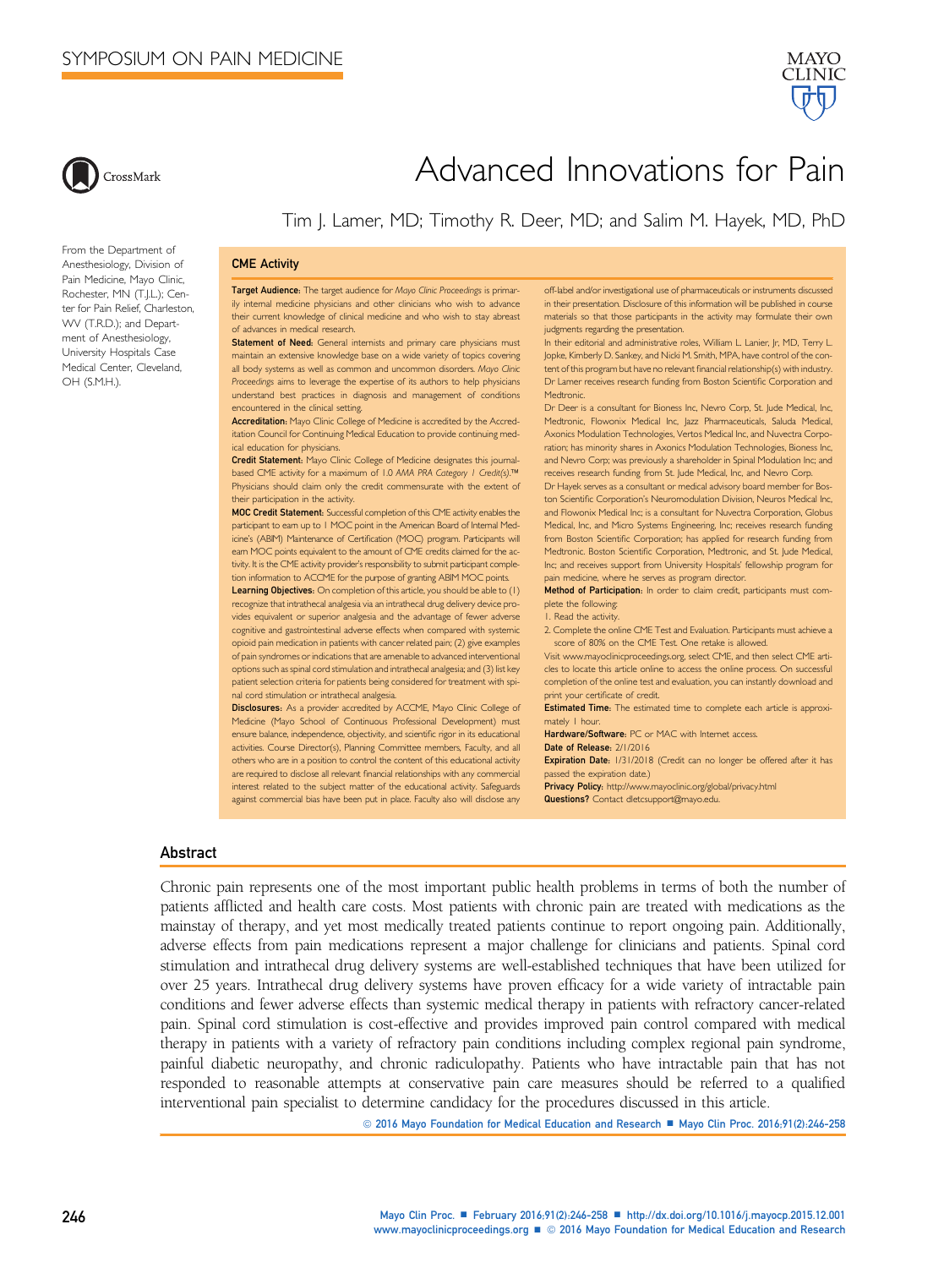

From the Department of Anesthesiology, Division of Pain Medicine, Mayo Clinic, Rochester, MN (T.J.L.); Center for Pain Relief, Charleston, WV (T.R.D.); and Department of Anesthesiology. University Hospitals Case Medical Center, Cleveland,

OH (S.M.H.).

# Advanced Innovations for Pain

Tim J. Lamer, MD; Timothy R. Deer, MD; and Salim M. Hayek, MD, PhD

#### CME Activity

Target Audience: The target audience for Mayo Clinic Proceedings is primarily internal medicine physicians and other clinicians who wish to advance their current knowledge of clinical medicine and who wish to stay abreast of advances in medical research.

Statement of Need: General internists and primary care physicians must maintain an extensive knowledge base on a wide variety of topics covering all body systems as well as common and uncommon disorders. Mayo Clinic Proceedings aims to leverage the expertise of its authors to help physicians understand best practices in diagnosis and management of conditions encountered in the clinical setting.

Accreditation: Mayo Clinic College of Medicine is accredited by the Accreditation Council for Continuing Medical Education to provide continuing medical education for physicians

Credit Statement: Mayo Clinic College of Medicine designates this journalbased CME activity for a maximum of 1.0 AMA PRA Category 1 Credit(s).™ Physicians should claim only the credit commensurate with the extent of their participation in the activity.

MOC Credit Statement: Successful completion of this CME activity enables the participant to earn up to 1 MOC point in the American Board of Internal Medicine's (ABIM) Maintenance of Certification (MOC) program. Participants will earn MOC points equivalent to the amount of CME credits claimed for the activity. It is the CME activity provider's responsibility to submit participant completion information to ACCME for the purpose of granting ABIM MOC points.

Learning Objectives: On completion of this article, you should be able to (1) recognize that intrathecal analgesia via an intrathecal drug delivery device provides equivalent or superior analgesia and the advantage of fewer adverse cognitive and gastrointestinal adverse effects when compared with systemic opioid pain medication in patients with cancer related pain; (2) give examples of pain syndromes or indications that are amenable to advanced interventional options such as spinal cord stimulation and intrathecal analgesia; and (3) list key patient selection criteria for patients being considered for treatment with spinal cord stimulation or intrathecal analgesia.

Disclosures: As a provider accredited by ACCME, Mayo Clinic College of Medicine (Mayo School of Continuous Professional Development) must ensure balance, independence, objectivity, and scientific rigor in its educational activities. Course Director(s), Planning Committee members, Faculty, and all others who are in a position to control the content of this educational activity are required to disclose all relevant financial relationships with any commercial interest related to the subject matter of the educational activity. Safeguards against commercial bias have been put in place. Faculty also will disclose any

off-label and/or investigational use of pharmaceuticals or instruments discussed in their presentation. Disclosure of this information will be published in course materials so that those participants in the activity may formulate their own judgments regarding the presentation.

MAYO **CLINIC** 

In their editorial and administrative roles, William L. Lanier, Jr, MD, Terry L. Jopke, Kimberly D. Sankey, and Nicki M. Smith, MPA, have control of the content of this program but have no relevant financial relationship(s) with industry. Dr Lamer receives research funding from Boston Scientific Corporation and Medtronic.

Dr Deer is a consultant for Bioness Inc, Nevro Corp, St. Jude Medical, Inc, Medtronic, Flowonix Medical Inc, Jazz Pharmaceuticals, Saluda Medical, Axonics Modulation Technologies, Vertos Medical Inc, and Nuvectra Corporation; has minority shares in Axonics Modulation Technologies, Bioness Inc, and Nevro Corp; was previously a shareholder in Spinal Modulation Inc; and receives research funding from St. Jude Medical, Inc, and Nevro Corp.

Dr Hayek serves as a consultant or medical advisory board member for Boston Scientific Corporation's Neuromodulation Division, Neuros Medical Inc, and Flowonix Medical Inc; is a consultant for Nuvectra Corporation, Globus Medical, Inc, and Micro Systems Engineering, Inc; receives research funding from Boston Scientific Corporation; has applied for research funding from Medtronic. Boston Scientific Corporation, Medtronic, and St. Jude Medical, Inc; and receives support from University Hospitals' fellowship program for pain medicine, where he serves as program director.

Method of Participation: In order to claim credit, participants must complete the following:

1. Read the activity.

2. Complete the online CME Test and Evaluation. Participants must achieve a score of 80% on the CME Test. One retake is allowed.

Visit [www.mayoclinicproceedings.org,](http://www.mayoclinicproceedings.org) select CME, and then select CME articles to locate this article online to access the online process. On successful completion of the online test and evaluation, you can instantly download and print your certificate of credit.

Estimated Time: The estimated time to complete each article is approximately 1 hour.

Hardware/Software: PC or MAC with Internet access.

Date of Release: 2/1/2016

Expiration Date: 1/31/2018 (Credit can no longer be offered after it has passed the expiration date.)

Privacy Policy: <http://www.mayoclinic.org/global/privacy.html> Questions? Contact [dletcsupport@mayo.edu.](mailto:dletcsupport@mayo.edu)

#### Abstract

Chronic pain represents one of the most important public health problems in terms of both the number of patients afflicted and health care costs. Most patients with chronic pain are treated with medications as the mainstay of therapy, and yet most medically treated patients continue to report ongoing pain. Additionally, adverse effects from pain medications represent a major challenge for clinicians and patients. Spinal cord stimulation and intrathecal drug delivery systems are well-established techniques that have been utilized for over 25 years. Intrathecal drug delivery systems have proven efficacy for a wide variety of intractable pain conditions and fewer adverse effects than systemic medical therapy in patients with refractory cancer-related pain. Spinal cord stimulation is cost-effective and provides improved pain control compared with medical therapy in patients with a variety of refractory pain conditions including complex regional pain syndrome, painful diabetic neuropathy, and chronic radiculopathy. Patients who have intractable pain that has not responded to reasonable attempts at conservative pain care measures should be referred to a qualified interventional pain specialist to determine candidacy for the procedures discussed in this article.

© 2016 Mayo Foundation for Medical Education and Research ■ Mayo Clin Proc. 2016;91(2):246-258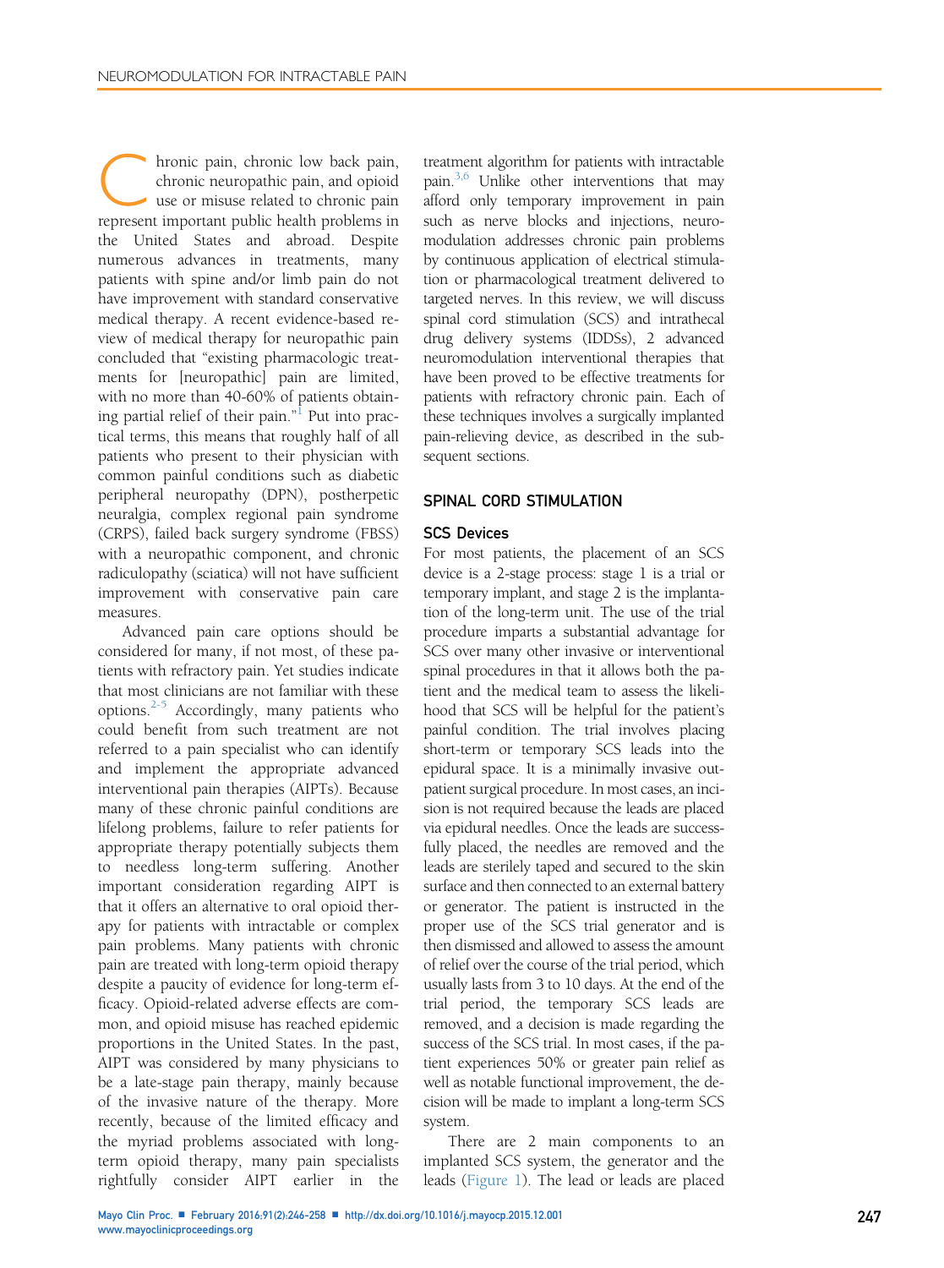hronic pain, chronic low back pain,<br>chronic neuropathic pain, and opioid<br>use or misuse related to chronic pain<br>represent important public health problems in chronic neuropathic pain, and opioid use or misuse related to chronic pain represent important public health problems in the United States and abroad. Despite numerous advances in treatments, many patients with spine and/or limb pain do not have improvement with standard conservative medical therapy. A recent evidence-based review of medical therapy for neuropathic pain concluded that "existing pharmacologic treatments for [neuropathic] pain are limited, with no more than 40-60% of patients obtaining partial relief of their pain." [1](#page-9-0) Put into practical terms, this means that roughly half of all patients who present to their physician with common painful conditions such as diabetic peripheral neuropathy (DPN), postherpetic neuralgia, complex regional pain syndrome (CRPS), failed back surgery syndrome (FBSS) with a neuropathic component, and chronic radiculopathy (sciatica) will not have sufficient improvement with conservative pain care measures.

Advanced pain care options should be considered for many, if not most, of these patients with refractory pain. Yet studies indicate that most clinicians are not familiar with these options. $2-5$  Accordingly, many patients who could benefit from such treatment are not referred to a pain specialist who can identify and implement the appropriate advanced interventional pain therapies (AIPTs). Because many of these chronic painful conditions are lifelong problems, failure to refer patients for appropriate therapy potentially subjects them to needless long-term suffering. Another important consideration regarding AIPT is that it offers an alternative to oral opioid therapy for patients with intractable or complex pain problems. Many patients with chronic pain are treated with long-term opioid therapy despite a paucity of evidence for long-term efficacy. Opioid-related adverse effects are common, and opioid misuse has reached epidemic proportions in the United States. In the past, AIPT was considered by many physicians to be a late-stage pain therapy, mainly because of the invasive nature of the therapy. More recently, because of the limited efficacy and the myriad problems associated with longterm opioid therapy, many pain specialists rightfully consider AIPT earlier in the

treatment algorithm for patients with intractable pain. $3,6$  Unlike other interventions that may afford only temporary improvement in pain such as nerve blocks and injections, neuromodulation addresses chronic pain problems by continuous application of electrical stimulation or pharmacological treatment delivered to targeted nerves. In this review, we will discuss spinal cord stimulation (SCS) and intrathecal drug delivery systems (IDDSs), 2 advanced neuromodulation interventional therapies that have been proved to be effective treatments for patients with refractory chronic pain. Each of these techniques involves a surgically implanted pain-relieving device, as described in the subsequent sections.

## SPINAL CORD STIMULATION

#### SCS Devices

For most patients, the placement of an SCS device is a 2-stage process: stage 1 is a trial or temporary implant, and stage 2 is the implantation of the long-term unit. The use of the trial procedure imparts a substantial advantage for SCS over many other invasive or interventional spinal procedures in that it allows both the patient and the medical team to assess the likelihood that SCS will be helpful for the patient's painful condition. The trial involves placing short-term or temporary SCS leads into the epidural space. It is a minimally invasive outpatient surgical procedure. In most cases, an incision is not required because the leads are placed via epidural needles. Once the leads are successfully placed, the needles are removed and the leads are sterilely taped and secured to the skin surface and then connected to an external battery or generator. The patient is instructed in the proper use of the SCS trial generator and is then dismissed and allowed to assess the amount of relief over the course of the trial period, which usually lasts from 3 to 10 days. At the end of the trial period, the temporary SCS leads are removed, and a decision is made regarding the success of the SCS trial. In most cases, if the patient experiences 50% or greater pain relief as well as notable functional improvement, the decision will be made to implant a long-term SCS system.

There are 2 main components to an implanted SCS system, the generator and the leads ([Figure 1\)](#page-2-0). The lead or leads are placed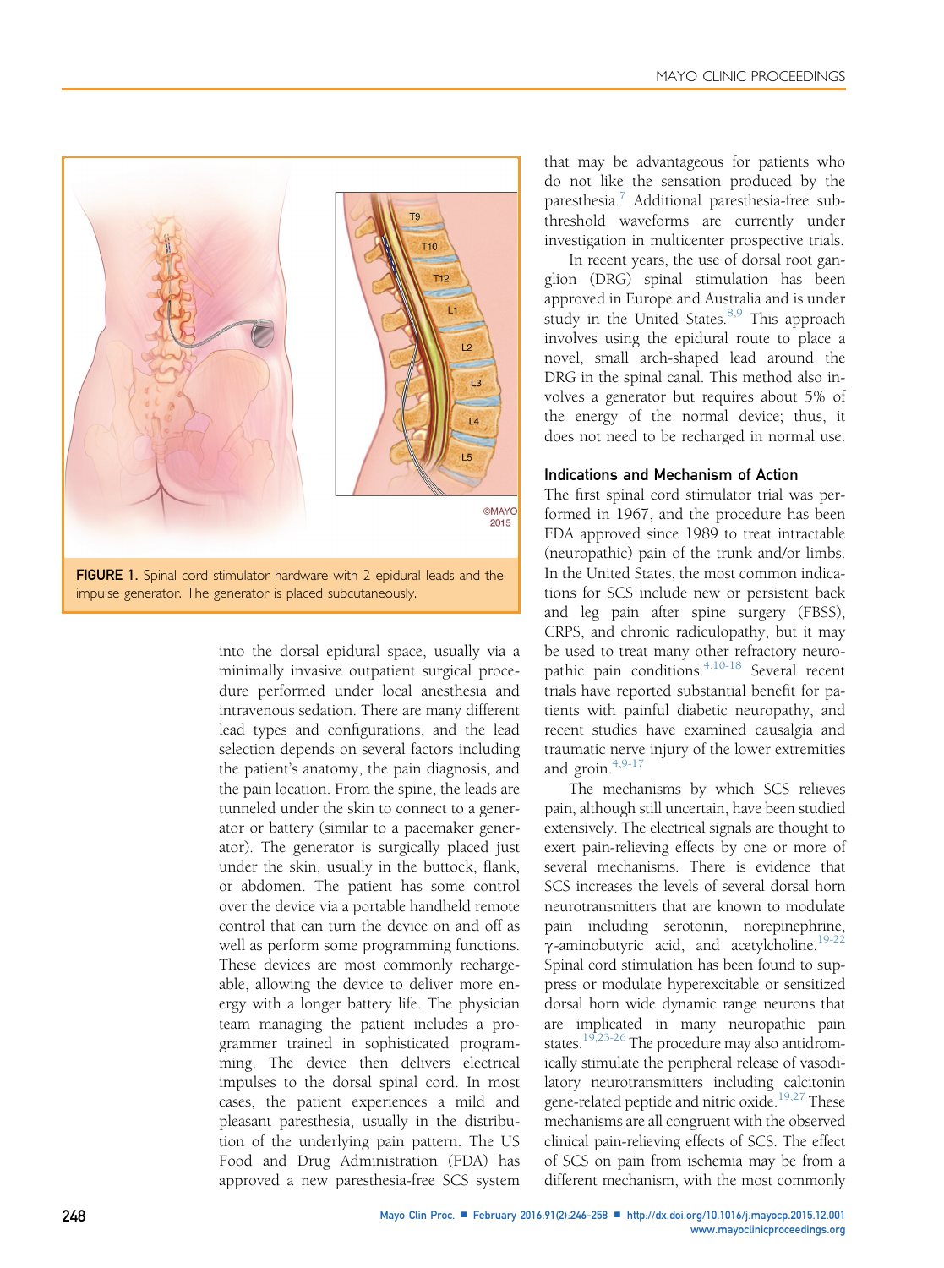<span id="page-2-0"></span>

FIGURE 1. Spinal cord stimulator hardware with 2 epidural leads and the impulse generator. The generator is placed subcutaneously.

into the dorsal epidural space, usually via a minimally invasive outpatient surgical procedure performed under local anesthesia and intravenous sedation. There are many different lead types and configurations, and the lead selection depends on several factors including the patient's anatomy, the pain diagnosis, and the pain location. From the spine, the leads are tunneled under the skin to connect to a generator or battery (similar to a pacemaker generator). The generator is surgically placed just under the skin, usually in the buttock, flank, or abdomen. The patient has some control over the device via a portable handheld remote control that can turn the device on and off as well as perform some programming functions. These devices are most commonly rechargeable, allowing the device to deliver more energy with a longer battery life. The physician team managing the patient includes a programmer trained in sophisticated programming. The device then delivers electrical impulses to the dorsal spinal cord. In most cases, the patient experiences a mild and pleasant paresthesia, usually in the distribution of the underlying pain pattern. The US Food and Drug Administration (FDA) has approved a new paresthesia-free SCS system that may be advantageous for patients who do not like the sensation produced by the paresthesia.[7](#page-10-0) Additional paresthesia-free subthreshold waveforms are currently under investigation in multicenter prospective trials.

In recent years, the use of dorsal root ganglion (DRG) spinal stimulation has been approved in Europe and Australia and is under study in the United States. $8,9$  This approach involves using the epidural route to place a novel, small arch-shaped lead around the DRG in the spinal canal. This method also involves a generator but requires about 5% of the energy of the normal device; thus, it does not need to be recharged in normal use.

## Indications and Mechanism of Action

The first spinal cord stimulator trial was performed in 1967, and the procedure has been FDA approved since 1989 to treat intractable (neuropathic) pain of the trunk and/or limbs. In the United States, the most common indications for SCS include new or persistent back and leg pain after spine surgery (FBSS), CRPS, and chronic radiculopathy, but it may be used to treat many other refractory neuro-pathic pain conditions.<sup>[4,10-18](#page-9-0)</sup> Several recent trials have reported substantial benefit for patients with painful diabetic neuropathy, and recent studies have examined causalgia and traumatic nerve injury of the lower extremities and groin.<sup>[4,9-17](#page-9-0)</sup>

The mechanisms by which SCS relieves pain, although still uncertain, have been studied extensively. The electrical signals are thought to exert pain-relieving effects by one or more of several mechanisms. There is evidence that SCS increases the levels of several dorsal horn neurotransmitters that are known to modulate pain including serotonin, norepinephrine,  $\gamma$ -aminobutyric acid, and acetylcholine.<sup>19-22</sup> Spinal cord stimulation has been found to suppress or modulate hyperexcitable or sensitized dorsal horn wide dynamic range neurons that are implicated in many neuropathic pain states.<sup>[19,23-26](#page-10-0)</sup> The procedure may also antidromically stimulate the peripheral release of vasodilatory neurotransmitters including calcitonin gene-related peptide and nitric oxide.<sup>[19,27](#page-10-0)</sup> These mechanisms are all congruent with the observed clinical pain-relieving effects of SCS. The effect of SCS on pain from ischemia may be from a different mechanism, with the most commonly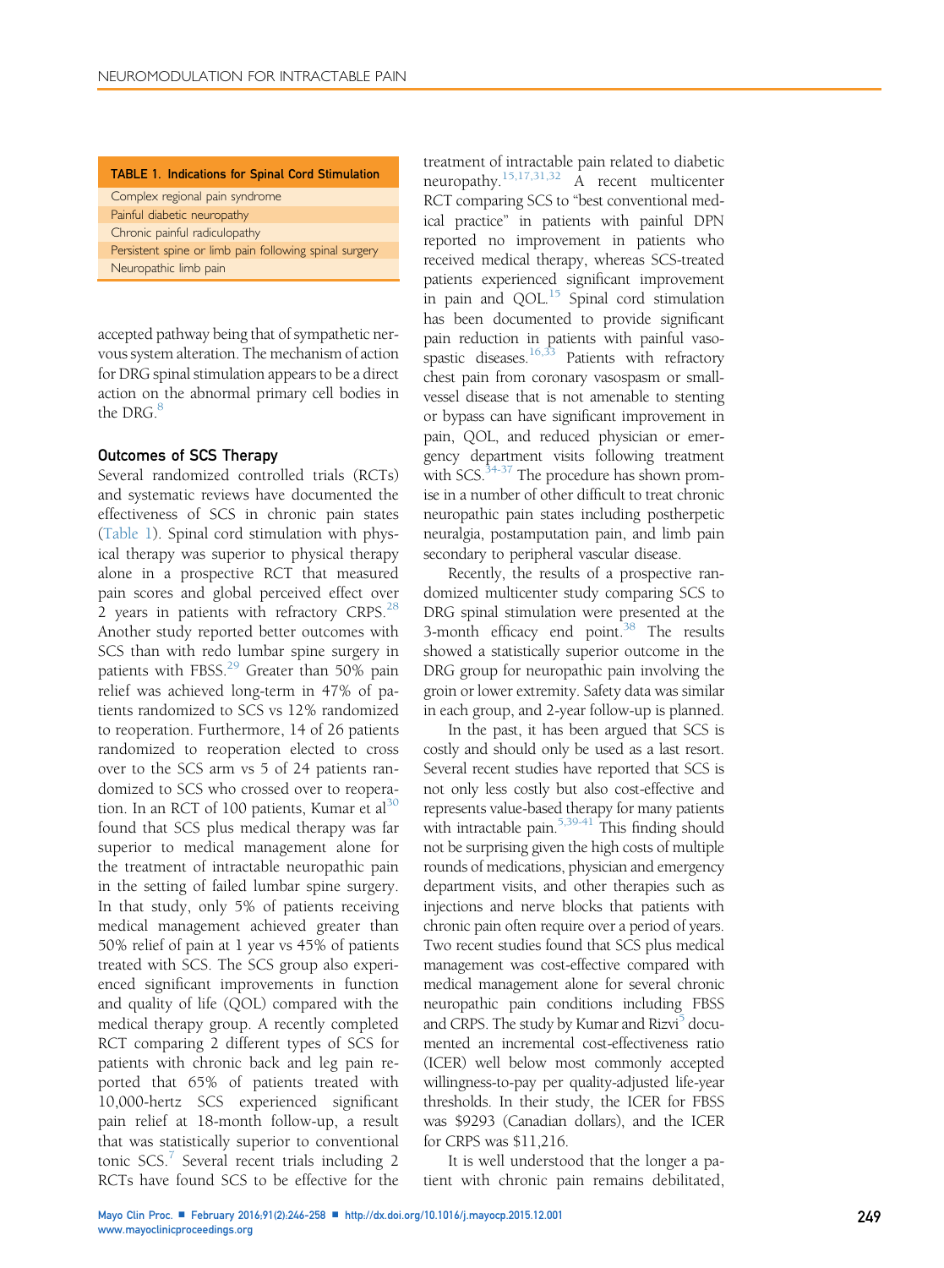#### TABLE 1. Indications for Spinal Cord Stimulation

Complex regional pain syndrome

Painful diabetic neuropathy

Chronic painful radiculopathy

- Persistent spine or limb pain following spinal surgery
- Neuropathic limb pain

accepted pathway being that of sympathetic nervous system alteration. The mechanism of action for DRG spinal stimulation appears to be a direct action on the abnormal primary cell bodies in the DRG  $8$ 

#### Outcomes of SCS Therapy

Several randomized controlled trials (RCTs) and systematic reviews have documented the effectiveness of SCS in chronic pain states (Table 1). Spinal cord stimulation with physical therapy was superior to physical therapy alone in a prospective RCT that measured pain scores and global perceived effect over 2 years in patients with refractory  $CRPS.<sup>28</sup>$  $CRPS.<sup>28</sup>$  $CRPS.<sup>28</sup>$ Another study reported better outcomes with SCS than with redo lumbar spine surgery in patients with FBSS.<sup>[29](#page-10-0)</sup> Greater than 50% pain relief was achieved long-term in 47% of patients randomized to SCS vs 12% randomized to reoperation. Furthermore, 14 of 26 patients randomized to reoperation elected to cross over to the SCS arm vs 5 of 24 patients randomized to SCS who crossed over to reopera-tion. In an RCT of 100 patients, Kumar et al<sup>[30](#page-10-0)</sup> found that SCS plus medical therapy was far superior to medical management alone for the treatment of intractable neuropathic pain in the setting of failed lumbar spine surgery. In that study, only 5% of patients receiving medical management achieved greater than 50% relief of pain at 1 year vs 45% of patients treated with SCS. The SCS group also experienced significant improvements in function and quality of life (QOL) compared with the medical therapy group. A recently completed RCT comparing 2 different types of SCS for patients with chronic back and leg pain reported that 65% of patients treated with 10,000-hertz SCS experienced significant pain relief at 18-month follow-up, a result that was statistically superior to conventional tonic  $SCS$ <sup>[7](#page-10-0)</sup> Several recent trials including 2 RCTs have found SCS to be effective for the

treatment of intractable pain related to diabetic neuropathy.<sup>[15,17,31,32](#page-10-0)</sup> A recent multicenter RCT comparing SCS to "best conventional medical practice" in patients with painful DPN reported no improvement in patients who received medical therapy, whereas SCS-treated patients experienced significant improvement in pain and QOL.<sup>[15](#page-10-0)</sup> Spinal cord stimulation has been documented to provide significant pain reduction in patients with painful vasospastic diseases. $16,33$  Patients with refractory chest pain from coronary vasospasm or smallvessel disease that is not amenable to stenting or bypass can have significant improvement in pain, QOL, and reduced physician or emergency department visits following treatment with SCS. $34-37$  The procedure has shown promise in a number of other difficult to treat chronic neuropathic pain states including postherpetic neuralgia, postamputation pain, and limb pain secondary to peripheral vascular disease.

Recently, the results of a prospective randomized multicenter study comparing SCS to DRG spinal stimulation were presented at the 3-month efficacy end point. $38$  The results showed a statistically superior outcome in the DRG group for neuropathic pain involving the groin or lower extremity. Safety data was similar in each group, and 2-year follow-up is planned.

In the past, it has been argued that SCS is costly and should only be used as a last resort. Several recent studies have reported that SCS is not only less costly but also cost-effective and represents value-based therapy for many patients with intractable pain.<sup>5,39-41</sup> This finding should not be surprising given the high costs of multiple rounds of medications, physician and emergency department visits, and other therapies such as injections and nerve blocks that patients with chronic pain often require over a period of years. Two recent studies found that SCS plus medical management was cost-effective compared with medical management alone for several chronic neuropathic pain conditions including FBSS and CRPS. The study by Kumar and Rizvi<sup>5</sup> documented an incremental cost-effectiveness ratio (ICER) well below most commonly accepted willingness-to-pay per quality-adjusted life-year thresholds. In their study, the ICER for FBSS was \$9293 (Canadian dollars), and the ICER for CRPS was \$11,216.

It is well understood that the longer a patient with chronic pain remains debilitated,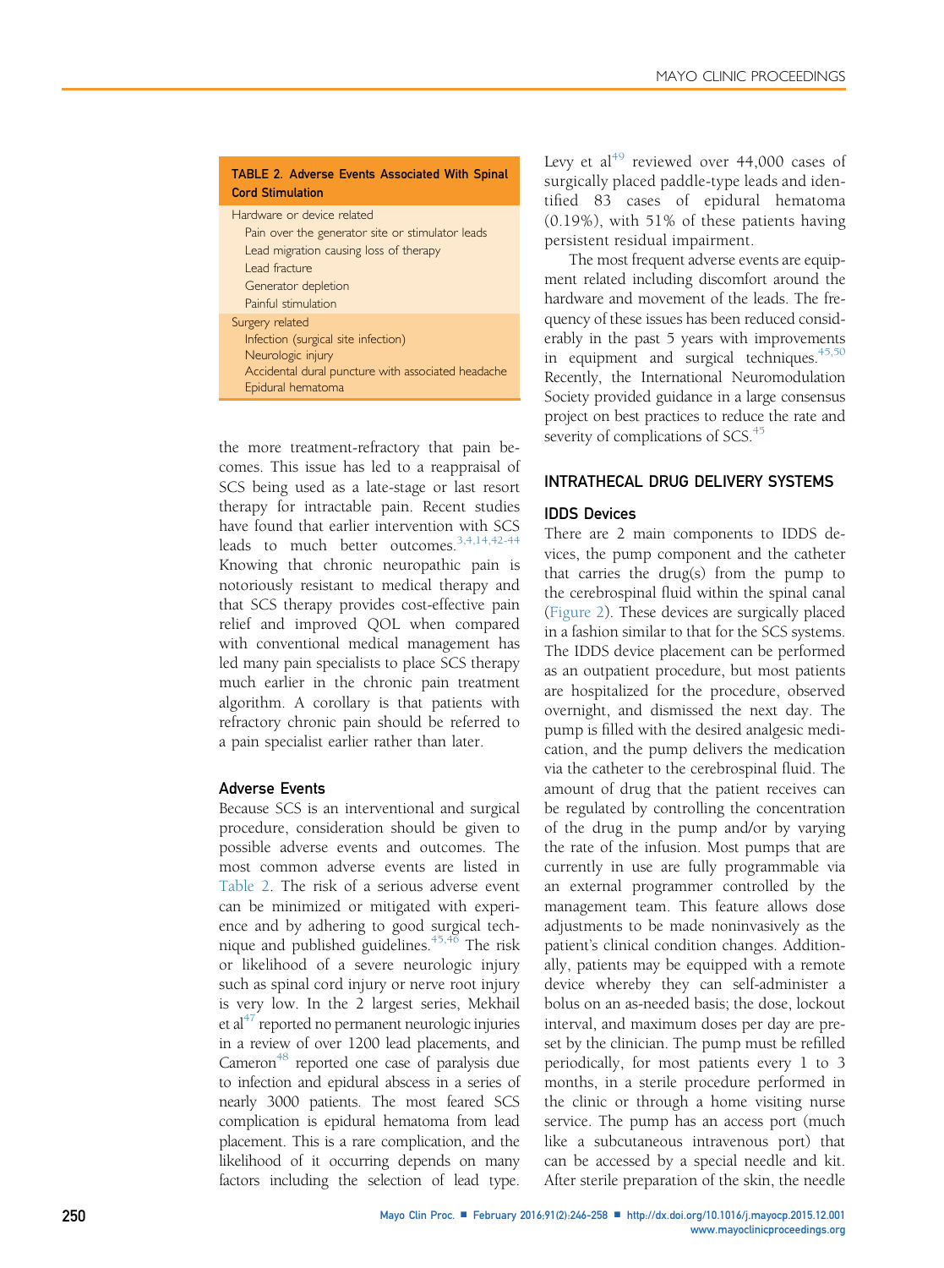| <b>TABLE 2. Adverse Events Associated With Spinal</b><br><b>Cord Stimulation</b>                                                                                                        |
|-----------------------------------------------------------------------------------------------------------------------------------------------------------------------------------------|
| Hardware or device related<br>Pain over the generator site or stimulator leads<br>Lead migration causing loss of therapy<br>Lead fracture<br>Generator depletion<br>Painful stimulation |
| Surgery related<br>Infection (surgical site infection)<br>Neurologic injury<br>Accidental dural puncture with associated headache<br>Epidural hematoma                                  |

the more treatment-refractory that pain becomes. This issue has led to a reappraisal of SCS being used as a late-stage or last resort therapy for intractable pain. Recent studies have found that earlier intervention with SCS leads to much better outcomes.<sup>[3,4,14,42-44](#page-9-0)</sup> Knowing that chronic neuropathic pain is notoriously resistant to medical therapy and that SCS therapy provides cost-effective pain relief and improved QOL when compared with conventional medical management has led many pain specialists to place SCS therapy much earlier in the chronic pain treatment algorithm. A corollary is that patients with refractory chronic pain should be referred to a pain specialist earlier rather than later.

## Adverse Events

Because SCS is an interventional and surgical procedure, consideration should be given to possible adverse events and outcomes. The most common adverse events are listed in Table 2. The risk of a serious adverse event can be minimized or mitigated with experience and by adhering to good surgical tech-nique and published guidelines.<sup>[45,46](#page-11-0)</sup> The risk or likelihood of a severe neurologic injury such as spinal cord injury or nerve root injury is very low. In the 2 largest series, Mekhail et al $^{47}$  $^{47}$  $^{47}$  reported no permanent neurologic injuries in a review of over 1200 lead placements, and Cameron<sup>[48](#page-11-0)</sup> reported one case of paralysis due to infection and epidural abscess in a series of nearly 3000 patients. The most feared SCS complication is epidural hematoma from lead placement. This is a rare complication, and the likelihood of it occurring depends on many factors including the selection of lead type.

Levy et al<sup>[49](#page-11-0)</sup> reviewed over 44,000 cases of surgically placed paddle-type leads and identified 83 cases of epidural hematoma (0.19%), with 51% of these patients having persistent residual impairment.

The most frequent adverse events are equipment related including discomfort around the hardware and movement of the leads. The frequency of these issues has been reduced considerably in the past 5 years with improvements in equipment and surgical techniques.<sup>45,50</sup> Recently, the International Neuromodulation Society provided guidance in a large consensus project on best practices to reduce the rate and severity of complications of SCS.<sup>[45](#page-11-0)</sup>

## INTRATHECAL DRUG DELIVERY SYSTEMS

## IDDS Devices

There are 2 main components to IDDS devices, the pump component and the catheter that carries the drug(s) from the pump to the cerebrospinal fluid within the spinal canal ([Figure 2](#page-5-0)). These devices are surgically placed in a fashion similar to that for the SCS systems. The IDDS device placement can be performed as an outpatient procedure, but most patients are hospitalized for the procedure, observed overnight, and dismissed the next day. The pump is filled with the desired analgesic medication, and the pump delivers the medication via the catheter to the cerebrospinal fluid. The amount of drug that the patient receives can be regulated by controlling the concentration of the drug in the pump and/or by varying the rate of the infusion. Most pumps that are currently in use are fully programmable via an external programmer controlled by the management team. This feature allows dose adjustments to be made noninvasively as the patient's clinical condition changes. Additionally, patients may be equipped with a remote device whereby they can self-administer a bolus on an as-needed basis; the dose, lockout interval, and maximum doses per day are preset by the clinician. The pump must be refilled periodically, for most patients every 1 to 3 months, in a sterile procedure performed in the clinic or through a home visiting nurse service. The pump has an access port (much like a subcutaneous intravenous port) that can be accessed by a special needle and kit. After sterile preparation of the skin, the needle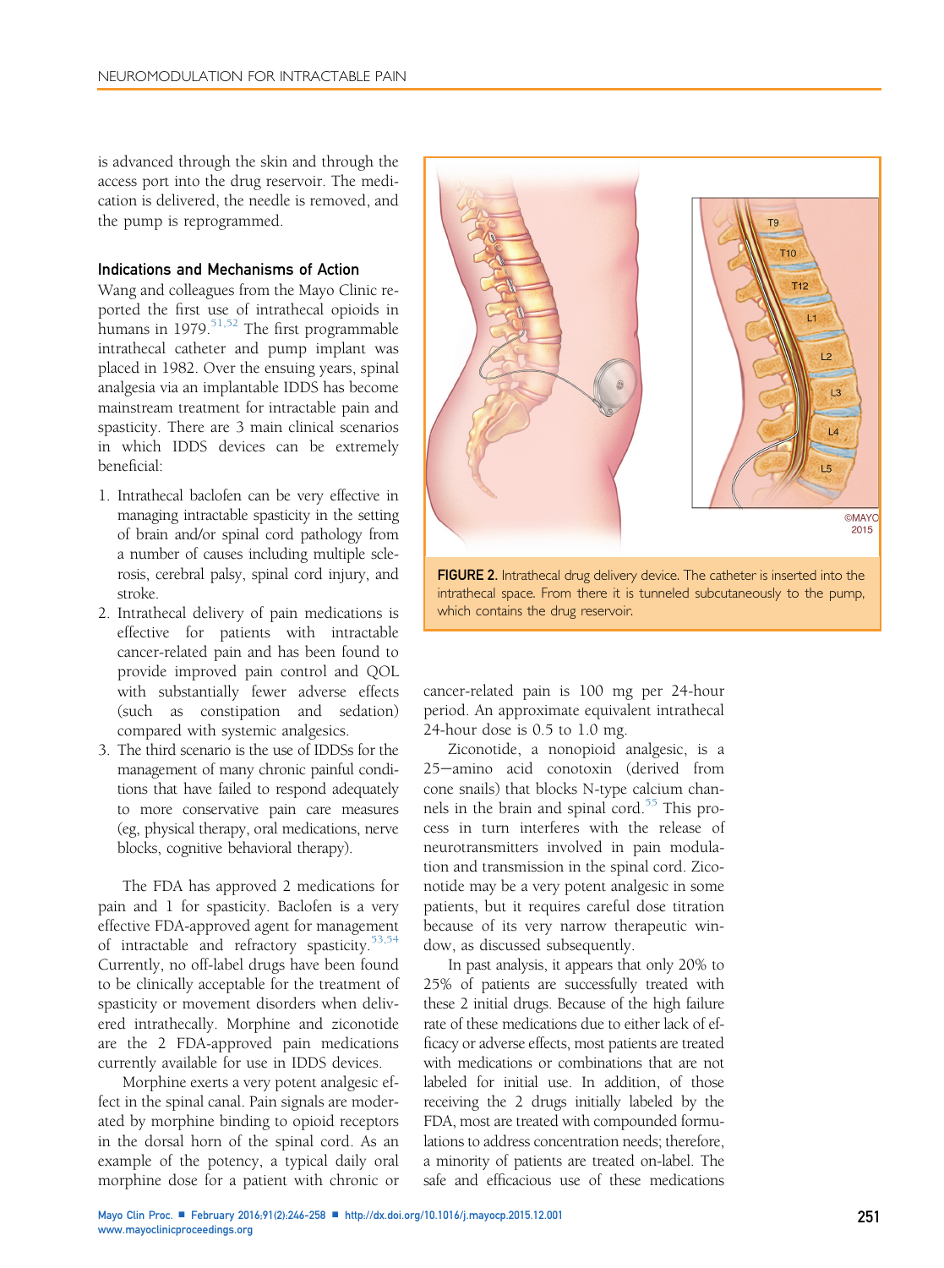<span id="page-5-0"></span>is advanced through the skin and through the access port into the drug reservoir. The medication is delivered, the needle is removed, and the pump is reprogrammed.

## Indications and Mechanisms of Action

Wang and colleagues from the Mayo Clinic reported the first use of intrathecal opioids in humans in 1979. $51,52$  The first programmable intrathecal catheter and pump implant was placed in 1982. Over the ensuing years, spinal analgesia via an implantable IDDS has become mainstream treatment for intractable pain and spasticity. There are 3 main clinical scenarios in which IDDS devices can be extremely beneficial:

- 1. Intrathecal baclofen can be very effective in managing intractable spasticity in the setting of brain and/or spinal cord pathology from a number of causes including multiple sclerosis, cerebral palsy, spinal cord injury, and stroke.
- 2. Intrathecal delivery of pain medications is effective for patients with intractable cancer-related pain and has been found to provide improved pain control and QOL with substantially fewer adverse effects (such as constipation and sedation) compared with systemic analgesics.
- 3. The third scenario is the use of IDDSs for the management of many chronic painful conditions that have failed to respond adequately to more conservative pain care measures (eg, physical therapy, oral medications, nerve blocks, cognitive behavioral therapy).

The FDA has approved 2 medications for pain and 1 for spasticity. Baclofen is a very effective FDA-approved agent for management of intractable and refractory spasticity. $53,54$ Currently, no off-label drugs have been found to be clinically acceptable for the treatment of spasticity or movement disorders when delivered intrathecally. Morphine and ziconotide are the 2 FDA-approved pain medications currently available for use in IDDS devices.

Morphine exerts a very potent analgesic effect in the spinal canal. Pain signals are moderated by morphine binding to opioid receptors in the dorsal horn of the spinal cord. As an example of the potency, a typical daily oral morphine dose for a patient with chronic or



FIGURE 2. Intrathecal drug delivery device. The catheter is inserted into the intrathecal space. From there it is tunneled subcutaneously to the pump, which contains the drug reservoir.

cancer-related pain is 100 mg per 24-hour period. An approximate equivalent intrathecal 24-hour dose is 0.5 to 1.0 mg.

Ziconotide, a nonopioid analgesic, is a 25-amino acid conotoxin (derived from cone snails) that blocks N-type calcium chan-nels in the brain and spinal cord.<sup>[55](#page-11-0)</sup> This process in turn interferes with the release of neurotransmitters involved in pain modulation and transmission in the spinal cord. Ziconotide may be a very potent analgesic in some patients, but it requires careful dose titration because of its very narrow therapeutic window, as discussed subsequently.

In past analysis, it appears that only 20% to 25% of patients are successfully treated with these 2 initial drugs. Because of the high failure rate of these medications due to either lack of efficacy or adverse effects, most patients are treated with medications or combinations that are not labeled for initial use. In addition, of those receiving the 2 drugs initially labeled by the FDA, most are treated with compounded formulations to address concentration needs; therefore, a minority of patients are treated on-label. The safe and efficacious use of these medications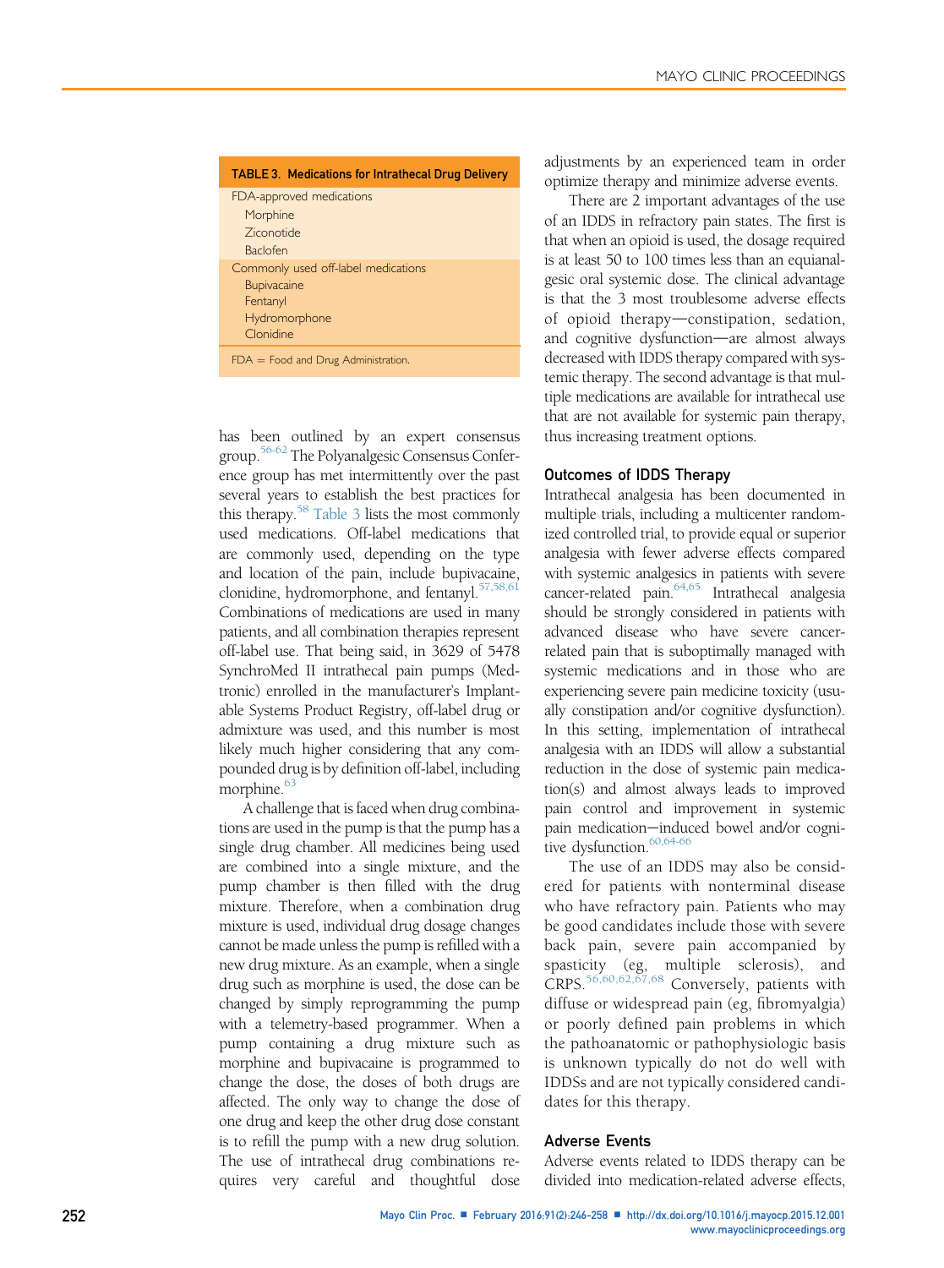| <b>TABLE 3. Medications for Intrathecal Drug Delivery</b> |
|-----------------------------------------------------------|
| FDA-approved medications                                  |
| Morphine                                                  |
| <b>Ziconotide</b>                                         |
| <b>Baclofen</b>                                           |
| Commonly used off-label medications                       |
| Bupivacaine                                               |
| Fentanyl                                                  |
| Hydromorphone                                             |
| Clonidine                                                 |
| $FDA = Food$ and Drug Administration.                     |

has been outlined by an expert consensus group.[56-62](#page-11-0) The Polyanalgesic Consensus Conference group has met intermittently over the past several years to establish the best practices for this therapy[.58](#page-11-0) Table 3 lists the most commonly used medications. Off-label medications that are commonly used, depending on the type and location of the pain, include bupivacaine, clonidine, hydromorphone, and fentanyl[.57,58,61](#page-11-0) Combinations of medications are used in many patients, and all combination therapies represent off-label use. That being said, in 3629 of 5478 SynchroMed II intrathecal pain pumps (Medtronic) enrolled in the manufacturer's Implantable Systems Product Registry, off-label drug or admixture was used, and this number is most likely much higher considering that any compounded drug is by definition off-label, including morphine.<sup>63</sup>

A challenge that is faced when drug combinations are used in the pump is that the pump has a single drug chamber. All medicines being used are combined into a single mixture, and the pump chamber is then filled with the drug mixture. Therefore, when a combination drug mixture is used, individual drug dosage changes cannot be made unless the pump is refilled with a new drug mixture. As an example, when a single drug such as morphine is used, the dose can be changed by simply reprogramming the pump with a telemetry-based programmer. When a pump containing a drug mixture such as morphine and bupivacaine is programmed to change the dose, the doses of both drugs are affected. The only way to change the dose of one drug and keep the other drug dose constant is to refill the pump with a new drug solution. The use of intrathecal drug combinations requires very careful and thoughtful dose adjustments by an experienced team in order optimize therapy and minimize adverse events.

There are 2 important advantages of the use of an IDDS in refractory pain states. The first is that when an opioid is used, the dosage required is at least 50 to 100 times less than an equianalgesic oral systemic dose. The clinical advantage is that the 3 most troublesome adverse effects of opioid therapy-constipation, sedation, and cognitive dysfunction-are almost always decreased with IDDS therapy compared with systemic therapy. The second advantage is that multiple medications are available for intrathecal use that are not available for systemic pain therapy, thus increasing treatment options.

## Outcomes of IDDS Therapy

Intrathecal analgesia has been documented in multiple trials, including a multicenter randomized controlled trial, to provide equal or superior analgesia with fewer adverse effects compared with systemic analgesics in patients with severe cancer-related pain.<sup>64,65</sup> Intrathecal analgesia should be strongly considered in patients with advanced disease who have severe cancerrelated pain that is suboptimally managed with systemic medications and in those who are experiencing severe pain medicine toxicity (usually constipation and/or cognitive dysfunction). In this setting, implementation of intrathecal analgesia with an IDDS will allow a substantial reduction in the dose of systemic pain medication(s) and almost always leads to improved pain control and improvement in systemic pain medication-induced bowel and/or cognitive dysfunction.<sup>60,64-66</sup>

The use of an IDDS may also be considered for patients with nonterminal disease who have refractory pain. Patients who may be good candidates include those with severe back pain, severe pain accompanied by spasticity (eg, multiple sclerosis), and CRPS.[56,60,62,67,68](#page-11-0) Conversely, patients with diffuse or widespread pain (eg, fibromyalgia) or poorly defined pain problems in which the pathoanatomic or pathophysiologic basis is unknown typically do not do well with IDDSs and are not typically considered candidates for this therapy.

#### Adverse Events

Adverse events related to IDDS therapy can be divided into medication-related adverse effects,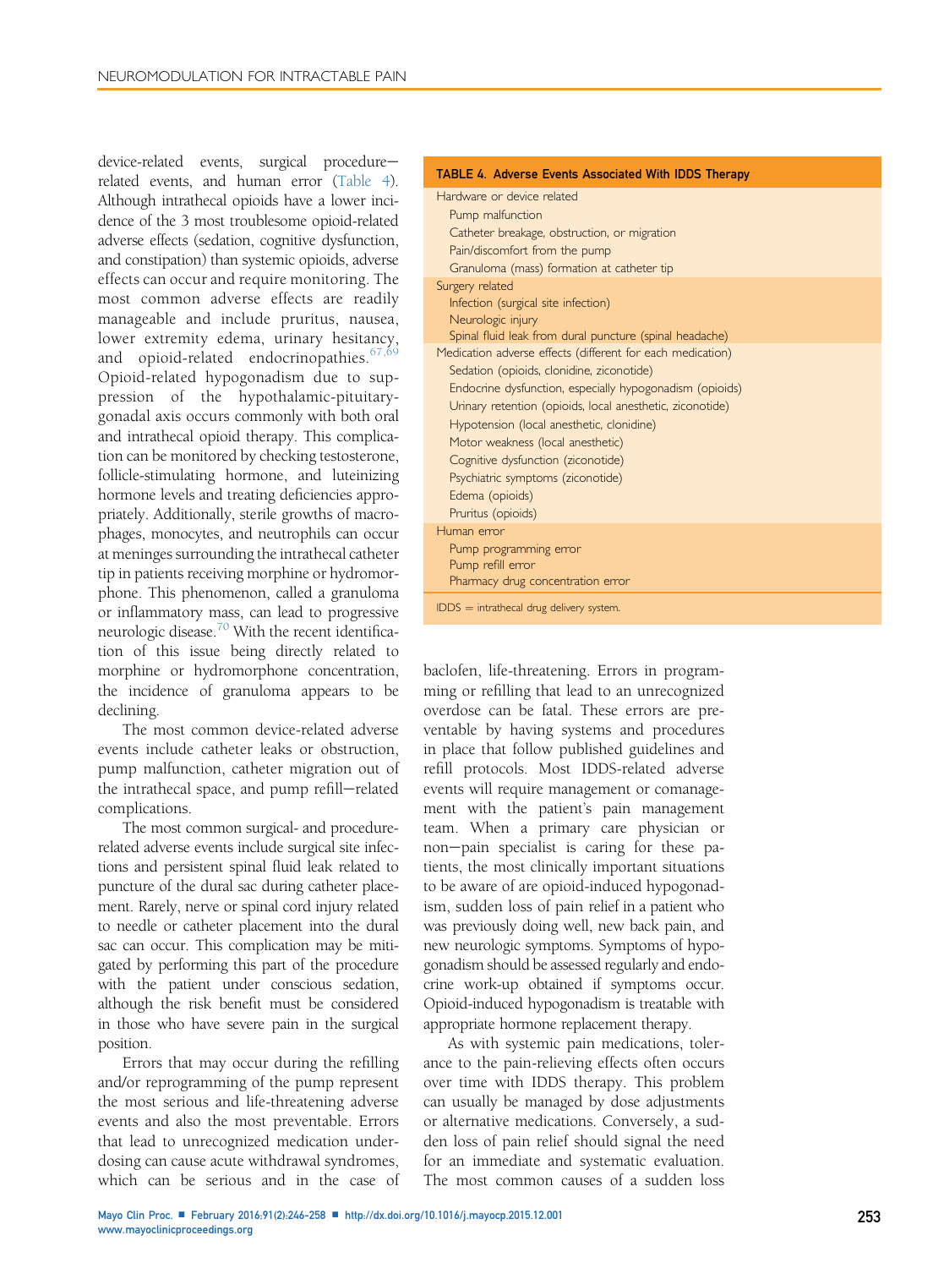device-related events, surgical procedurerelated events, and human error (Table 4). Although intrathecal opioids have a lower incidence of the 3 most troublesome opioid-related adverse effects (sedation, cognitive dysfunction, and constipation) than systemic opioids, adverse effects can occur and require monitoring. The most common adverse effects are readily manageable and include pruritus, nausea, lower extremity edema, urinary hesitancy, and opioid-related endocrinopathies.<sup>[67,69](#page-11-0)</sup> Opioid-related hypogonadism due to suppression of the hypothalamic-pituitarygonadal axis occurs commonly with both oral and intrathecal opioid therapy. This complication can be monitored by checking testosterone, follicle-stimulating hormone, and luteinizing hormone levels and treating deficiencies appropriately. Additionally, sterile growths of macrophages, monocytes, and neutrophils can occur at meninges surrounding the intrathecal catheter tip in patients receiving morphine or hydromorphone. This phenomenon, called a granuloma or inflammatory mass, can lead to progressive neurologic disease.<sup>70</sup> With the recent identification of this issue being directly related to morphine or hydromorphone concentration, the incidence of granuloma appears to be declining.

The most common device-related adverse events include catheter leaks or obstruction, pump malfunction, catheter migration out of the intrathecal space, and pump refill-related complications.

The most common surgical- and procedurerelated adverse events include surgical site infections and persistent spinal fluid leak related to puncture of the dural sac during catheter placement. Rarely, nerve or spinal cord injury related to needle or catheter placement into the dural sac can occur. This complication may be mitigated by performing this part of the procedure with the patient under conscious sedation, although the risk benefit must be considered in those who have severe pain in the surgical position.

Errors that may occur during the refilling and/or reprogramming of the pump represent the most serious and life-threatening adverse events and also the most preventable. Errors that lead to unrecognized medication underdosing can cause acute withdrawal syndromes, which can be serious and in the case of

| <b>TABLE 4. Adverse Events Associated With IDDS Therapy</b>                                    |
|------------------------------------------------------------------------------------------------|
| Hardware or device related<br>Pump malfunction<br>Catheter breakage, obstruction, or migration |
| Pain/discomfort from the pump                                                                  |
| Granuloma (mass) formation at catheter tip                                                     |
| Surgery related<br>Infection (surgical site infection)<br>Neurologic injury                    |
| Spinal fluid leak from dural puncture (spinal headache)                                        |
| Medication adverse effects (different for each medication)                                     |
| Sedation (opioids, clonidine, ziconotide)                                                      |
| Endocrine dysfunction, especially hypogonadism (opioids)                                       |
| Urinary retention (opioids, local anesthetic, ziconotide)                                      |
| Hypotension (local anesthetic, clonidine)                                                      |
| Motor weakness (local anesthetic)                                                              |
| Cognitive dysfunction (ziconotide)                                                             |
| Psychiatric symptoms (ziconotide)                                                              |
| Edema (opioids)                                                                                |
| Pruritus (opioids)                                                                             |
| Human error                                                                                    |
| Pump programming error                                                                         |
| Pump refill error                                                                              |
| Pharmacy drug concentration error                                                              |
| $IDDS = intrathecal drug delivery system.$                                                     |

baclofen, life-threatening. Errors in programming or refilling that lead to an unrecognized overdose can be fatal. These errors are preventable by having systems and procedures in place that follow published guidelines and refill protocols. Most IDDS-related adverse events will require management or comanagement with the patient's pain management team. When a primary care physician or non-pain specialist is caring for these patients, the most clinically important situations to be aware of are opioid-induced hypogonadism, sudden loss of pain relief in a patient who was previously doing well, new back pain, and new neurologic symptoms. Symptoms of hypogonadism should be assessed regularly and endocrine work-up obtained if symptoms occur. Opioid-induced hypogonadism is treatable with appropriate hormone replacement therapy.

As with systemic pain medications, tolerance to the pain-relieving effects often occurs over time with IDDS therapy. This problem can usually be managed by dose adjustments or alternative medications. Conversely, a sudden loss of pain relief should signal the need for an immediate and systematic evaluation. The most common causes of a sudden loss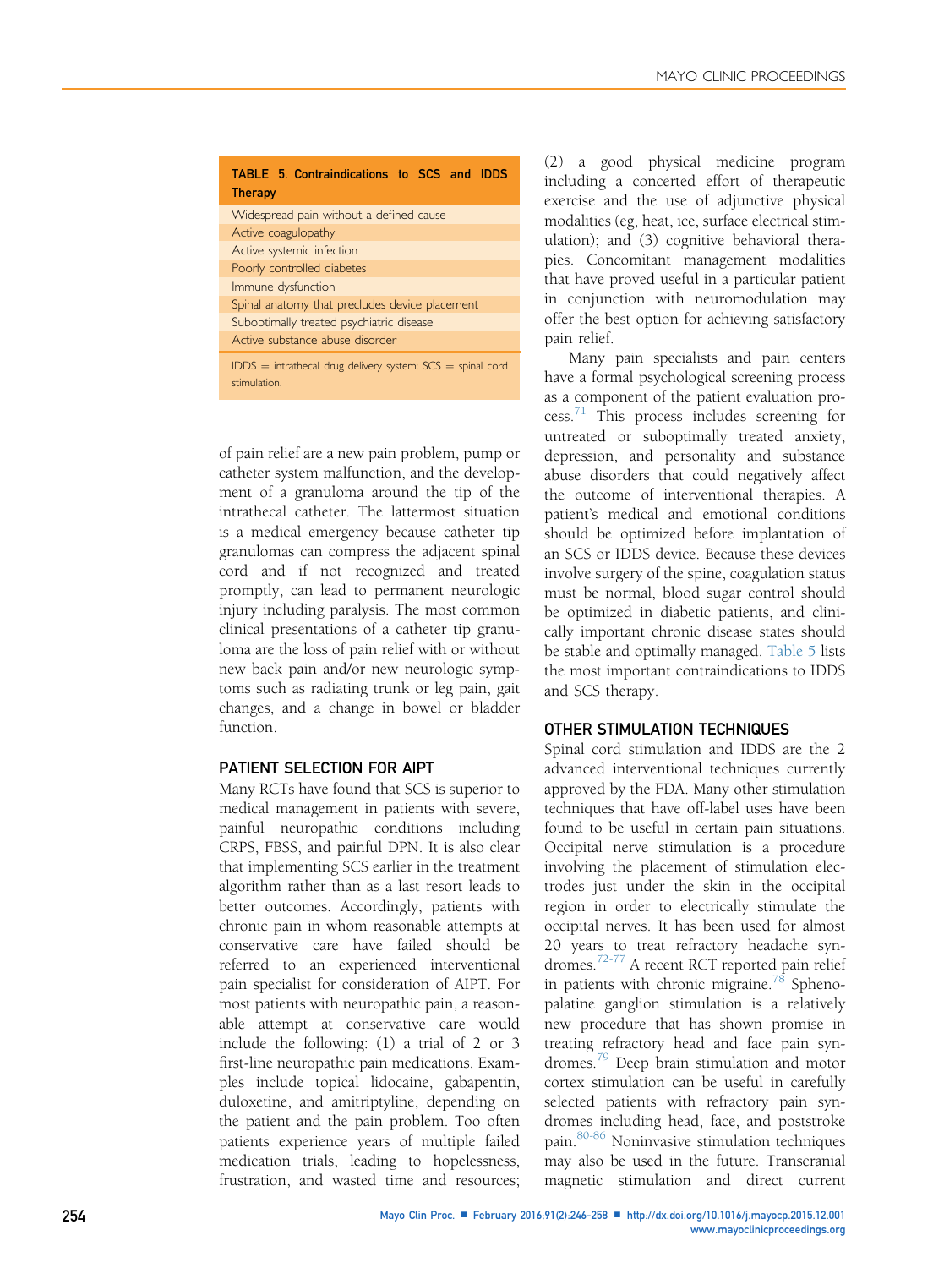| TABLE 5. Contraindications to SCS and IDDS<br><b>Therapy</b>                 |
|------------------------------------------------------------------------------|
| Widespread pain without a defined cause                                      |
| Active coagulopathy                                                          |
| Active systemic infection                                                    |
| Poorly controlled diabetes                                                   |
| Immune dysfunction                                                           |
| Spinal anatomy that precludes device placement                               |
| Suboptimally treated psychiatric disease                                     |
| Active substance abuse disorder                                              |
| $IDDS = intrathecal drug delivery system; SCS = spinal cord$<br>stimulation. |

of pain relief are a new pain problem, pump or catheter system malfunction, and the development of a granuloma around the tip of the intrathecal catheter. The lattermost situation is a medical emergency because catheter tip granulomas can compress the adjacent spinal cord and if not recognized and treated promptly, can lead to permanent neurologic injury including paralysis. The most common clinical presentations of a catheter tip granuloma are the loss of pain relief with or without new back pain and/or new neurologic symptoms such as radiating trunk or leg pain, gait changes, and a change in bowel or bladder function.

## PATIENT SELECTION FOR AIPT

Many RCTs have found that SCS is superior to medical management in patients with severe, painful neuropathic conditions including CRPS, FBSS, and painful DPN. It is also clear that implementing SCS earlier in the treatment algorithm rather than as a last resort leads to better outcomes. Accordingly, patients with chronic pain in whom reasonable attempts at conservative care have failed should be referred to an experienced interventional pain specialist for consideration of AIPT. For most patients with neuropathic pain, a reasonable attempt at conservative care would include the following: (1) a trial of 2 or 3 first-line neuropathic pain medications. Examples include topical lidocaine, gabapentin, duloxetine, and amitriptyline, depending on the patient and the pain problem. Too often patients experience years of multiple failed medication trials, leading to hopelessness, frustration, and wasted time and resources; (2) a good physical medicine program including a concerted effort of therapeutic exercise and the use of adjunctive physical modalities (eg, heat, ice, surface electrical stimulation); and (3) cognitive behavioral therapies. Concomitant management modalities that have proved useful in a particular patient in conjunction with neuromodulation may offer the best option for achieving satisfactory pain relief.

Many pain specialists and pain centers have a formal psychological screening process as a component of the patient evaluation process.[71](#page-11-0) This process includes screening for untreated or suboptimally treated anxiety, depression, and personality and substance abuse disorders that could negatively affect the outcome of interventional therapies. A patient's medical and emotional conditions should be optimized before implantation of an SCS or IDDS device. Because these devices involve surgery of the spine, coagulation status must be normal, blood sugar control should be optimized in diabetic patients, and clinically important chronic disease states should be stable and optimally managed. Table 5 lists the most important contraindications to IDDS and SCS therapy.

## OTHER STIMULATION TECHNIQUES

Spinal cord stimulation and IDDS are the 2 advanced interventional techniques currently approved by the FDA. Many other stimulation techniques that have off-label uses have been found to be useful in certain pain situations. Occipital nerve stimulation is a procedure involving the placement of stimulation electrodes just under the skin in the occipital region in order to electrically stimulate the occipital nerves. It has been used for almost 20 years to treat refractory headache syndromes.<sup>72-77</sup> A recent RCT reported pain relief in patients with chronic migraine.<sup>[78](#page-11-0)</sup> Sphenopalatine ganglion stimulation is a relatively new procedure that has shown promise in treating refractory head and face pain syndromes[.79](#page-11-0) Deep brain stimulation and motor cortex stimulation can be useful in carefully selected patients with refractory pain syndromes including head, face, and poststroke pain.[80-86](#page-11-0) Noninvasive stimulation techniques may also be used in the future. Transcranial magnetic stimulation and direct current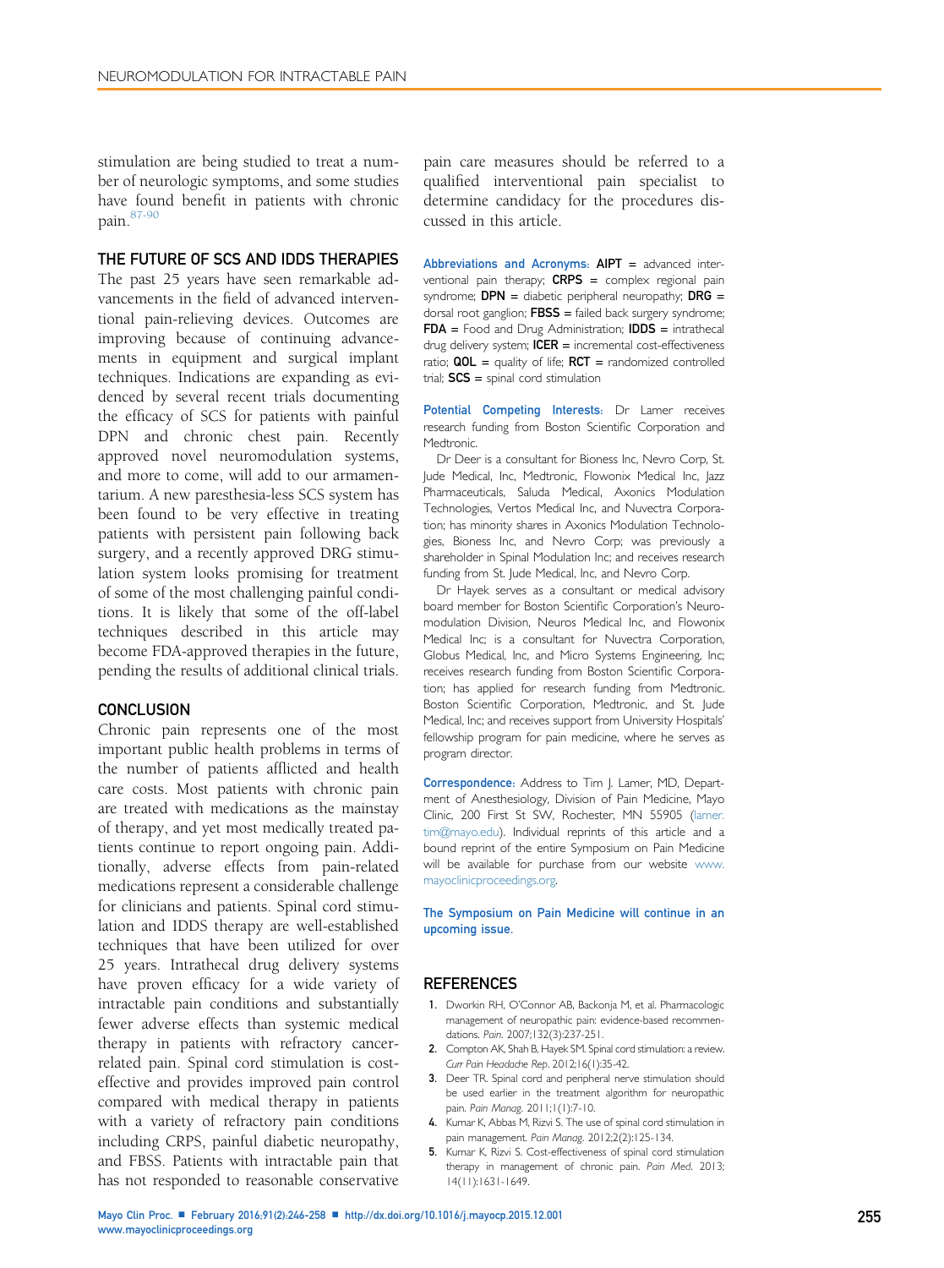<span id="page-9-0"></span>stimulation are being studied to treat a number of neurologic symptoms, and some studies have found benefit in patients with chronic pain.[87-90](#page-12-0)

## THE FUTURE OF SCS AND IDDS THERAPIES

The past 25 years have seen remarkable advancements in the field of advanced interventional pain-relieving devices. Outcomes are improving because of continuing advancements in equipment and surgical implant techniques. Indications are expanding as evidenced by several recent trials documenting the efficacy of SCS for patients with painful DPN and chronic chest pain. Recently approved novel neuromodulation systems, and more to come, will add to our armamentarium. A new paresthesia-less SCS system has been found to be very effective in treating patients with persistent pain following back surgery, and a recently approved DRG stimulation system looks promising for treatment of some of the most challenging painful conditions. It is likely that some of the off-label techniques described in this article may become FDA-approved therapies in the future, pending the results of additional clinical trials.

#### **CONCLUSION**

Chronic pain represents one of the most important public health problems in terms of the number of patients afflicted and health care costs. Most patients with chronic pain are treated with medications as the mainstay of therapy, and yet most medically treated patients continue to report ongoing pain. Additionally, adverse effects from pain-related medications represent a considerable challenge for clinicians and patients. Spinal cord stimulation and IDDS therapy are well-established techniques that have been utilized for over 25 years. Intrathecal drug delivery systems have proven efficacy for a wide variety of intractable pain conditions and substantially fewer adverse effects than systemic medical therapy in patients with refractory cancerrelated pain. Spinal cord stimulation is costeffective and provides improved pain control compared with medical therapy in patients with a variety of refractory pain conditions including CRPS, painful diabetic neuropathy, and FBSS. Patients with intractable pain that has not responded to reasonable conservative

pain care measures should be referred to a qualified interventional pain specialist to determine candidacy for the procedures discussed in this article.

Abbreviations and Acronyms: AIPT = advanced interventional pain therapy;  $CRPS =$  complex regional pain syndrome;  $DPN =$  diabetic peripheral neuropathy;  $DRG =$ dorsal root ganglion;  $FBSS =$  failed back surgery syndrome;  $FDA =$  Food and Drug Administration;  $IDDS =$  intrathecal drug delivery system;  $ICER =$  incremental cost-effectiveness ratio;  $\text{QOL} =$  quality of life;  $\text{RCT} =$  randomized controlled trial;  $SCS =$  spinal cord stimulation

Potential Competing Interests: Dr Lamer receives research funding from Boston Scientific Corporation and Medtronic.

Dr Deer is a consultant for Bioness Inc, Nevro Corp, St. Jude Medical, Inc, Medtronic, Flowonix Medical Inc, Jazz Pharmaceuticals, Saluda Medical, Axonics Modulation Technologies, Vertos Medical Inc, and Nuvectra Corporation; has minority shares in Axonics Modulation Technologies, Bioness Inc, and Nevro Corp; was previously a shareholder in Spinal Modulation Inc; and receives research funding from St. Jude Medical, Inc, and Nevro Corp.

Dr Hayek serves as a consultant or medical advisory board member for Boston Scientific Corporation's Neuromodulation Division, Neuros Medical Inc, and Flowonix Medical Inc; is a consultant for Nuvectra Corporation, Globus Medical, Inc, and Micro Systems Engineering, Inc; receives research funding from Boston Scientific Corporation; has applied for research funding from Medtronic. Boston Scientific Corporation, Medtronic, and St. Jude Medical, Inc; and receives support from University Hospitals' fellowship program for pain medicine, where he serves as program director.

Correspondence: Address to Tim J. Lamer, MD, Department of Anesthesiology, Division of Pain Medicine, Mayo Clinic, 200 First St SW, Rochester, MN 55905 ([lamer.](mailto:lamer.tim@mayo.edu) [tim@mayo.edu\)](mailto:lamer.tim@mayo.edu). Individual reprints of this article and a bound reprint of the entire Symposium on Pain Medicine will be available for purchase from our website [www.](http://www.mayoclinicproceedings.org) [mayoclinicproceedings.org](http://www.mayoclinicproceedings.org).

The Symposium on Pain Medicine will continue in an upcoming issue.

#### **REFERENCES**

- 1. Dworkin RH, O'Connor AB, Backonja M, et al. Pharmacologic management of neuropathic pain: evidence-based recommendations. Pain. 2007;132(3):237-251.
- 2. Compton AK, Shah B, Hayek SM. Spinal cord stimulation: a review. Curr Pain Headache Rep. 2012;16(1):35-42.
- 3. Deer TR. Spinal cord and peripheral nerve stimulation should be used earlier in the treatment algorithm for neuropathic pain. Pain Manag. 2011;1(1):7-10.
- 4. Kumar K, Abbas M, Rizvi S. The use of spinal cord stimulation in pain management. Pain Manag. 2012;2(2):125-134.
- 5. Kumar K, Rizvi S. Cost-effectiveness of spinal cord stimulation therapy in management of chronic pain. Pain Med. 2013; 14(11):1631-1649.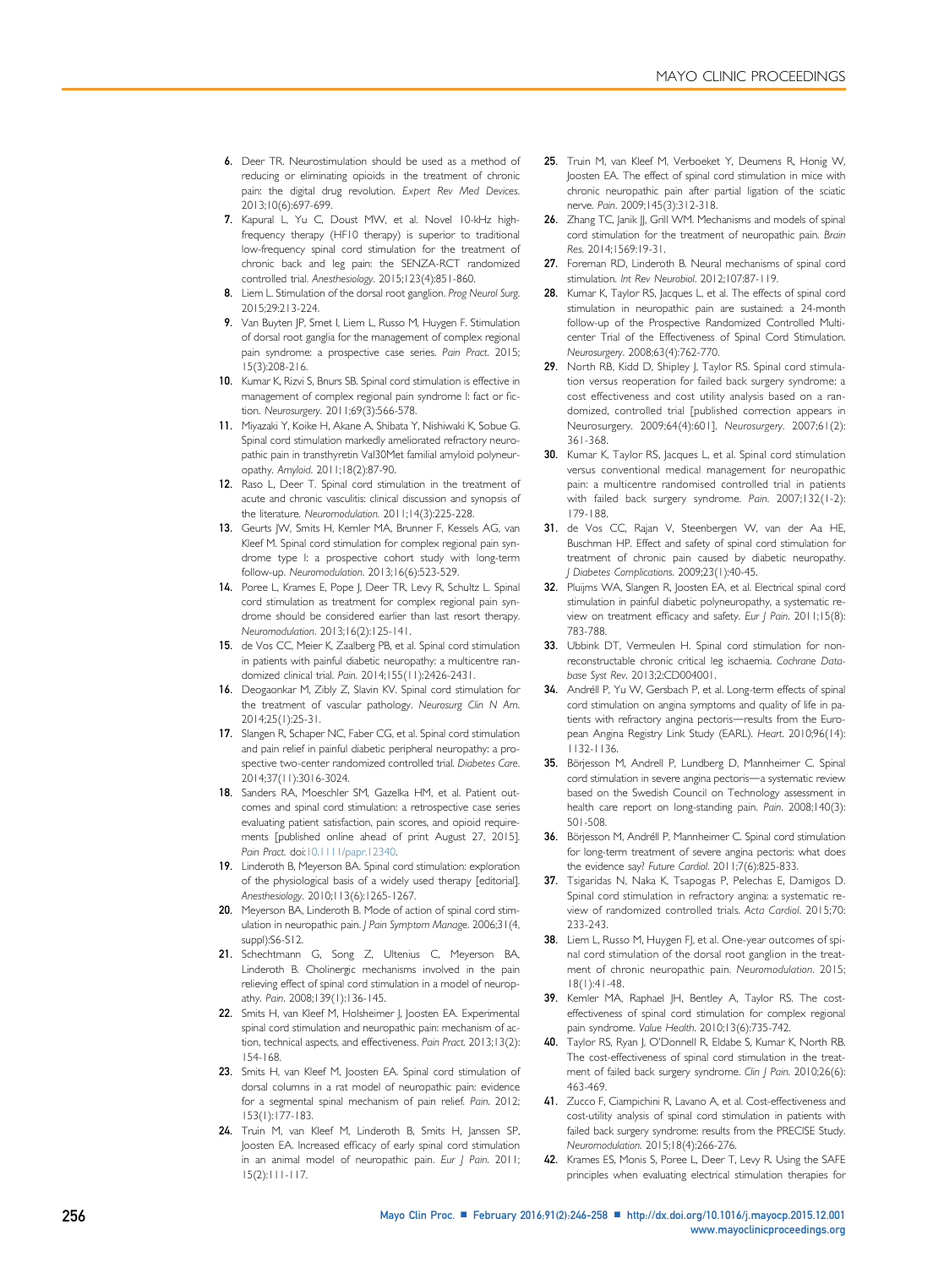- <span id="page-10-0"></span>6. Deer TR. Neurostimulation should be used as a method of reducing or eliminating opioids in the treatment of chronic pain: the digital drug revolution. Expert Rev Med Devices. 2013;10(6):697-699.
- 7. Kapural L, Yu C, Doust MW, et al. Novel 10-kHz highfrequency therapy (HF10 therapy) is superior to traditional low-frequency spinal cord stimulation for the treatment of chronic back and leg pain: the SENZA-RCT randomized controlled trial. Anesthesiology. 2015;123(4):851-860.
- 8. Liem L. Stimulation of the dorsal root ganglion. Prog Neurol Surg. 2015;29:213-224.
- 9. Van Buyten JP, Smet I, Liem L, Russo M, Huygen F. Stimulation of dorsal root ganglia for the management of complex regional pain syndrome: a prospective case series. Pain Pract. 2015; 15(3):208-216.
- 10. Kumar K, Rizvi S, Bnurs SB. Spinal cord stimulation is effective in management of complex regional pain syndrome I: fact or fiction. Neurosurgery. 2011;69(3):566-578.
- 11. Miyazaki Y, Koike H, Akane A, Shibata Y, Nishiwaki K, Sobue G. Spinal cord stimulation markedly ameliorated refractory neuropathic pain in transthyretin Val30Met familial amyloid polyneuropathy. Amyloid. 2011;18(2):87-90.
- 12. Raso L, Deer T. Spinal cord stimulation in the treatment of acute and chronic vasculitis: clinical discussion and synopsis of the literature. Neuromodulation. 2011;14(3):225-228.
- 13. Geurts JW, Smits H, Kemler MA, Brunner F, Kessels AG, van Kleef M. Spinal cord stimulation for complex regional pain syndrome type I: a prospective cohort study with long-term follow-up. Neuromodulation. 2013;16(6):523-529.
- 14. Poree L, Krames E, Pope J, Deer TR, Levy R, Schultz L. Spinal cord stimulation as treatment for complex regional pain syndrome should be considered earlier than last resort therapy. Neuromodulation. 2013;16(2):125-141.
- 15. de Vos CC, Meier K, Zaalberg PB, et al. Spinal cord stimulation in patients with painful diabetic neuropathy: a multicentre randomized clinical trial. Pain. 2014;155(11):2426-2431.
- 16. Deogaonkar M, Zibly Z, Slavin KV. Spinal cord stimulation for the treatment of vascular pathology. Neurosurg Clin N Am. 2014;25(1):25-31.
- 17. Slangen R, Schaper NC, Faber CG, et al. Spinal cord stimulation and pain relief in painful diabetic peripheral neuropathy: a prospective two-center randomized controlled trial. Diabetes Care. 2014;37(11):3016-3024.
- 18. Sanders RA, Moeschler SM, Gazelka HM, et al. Patient outcomes and spinal cord stimulation: a retrospective case series evaluating patient satisfaction, pain scores, and opioid requirements [published online ahead of print August 27, 2015]. Pain Pract. doi:[10.1111/papr.12340.](http://10.1111/papr.12340)
- 19. Linderoth B, Meyerson BA. Spinal cord stimulation: exploration of the physiological basis of a widely used therapy [editorial]. Anesthesiology. 2010;113(6):1265-1267.
- 20. Meyerson BA, Linderoth B. Mode of action of spinal cord stimulation in neuropathic pain. J Pain Symptom Manage. 2006;31(4, suppl):S6-S12.
- 21. Schechtmann G, Song Z, Ultenius C, Meyerson BA, Linderoth B. Cholinergic mechanisms involved in the pain relieving effect of spinal cord stimulation in a model of neuropathy. Pain. 2008;139(1):136-145.
- 22. Smits H, van Kleef M, Holsheimer J, Joosten EA. Experimental spinal cord stimulation and neuropathic pain: mechanism of action, technical aspects, and effectiveness. Pain Pract. 2013;13(2): 154-168.
- 23. Smits H, van Kleef M, Joosten EA. Spinal cord stimulation of dorsal columns in a rat model of neuropathic pain: evidence for a segmental spinal mechanism of pain relief. Pain. 2012; 153(1):177-183.
- 24. Truin M, van Kleef M, Linderoth B, Smits H, Janssen SP, Joosten EA. Increased efficacy of early spinal cord stimulation in an animal model of neuropathic pain. Eur J Pain. 2011; 15(2):111-117.
- 25. Truin M, van Kleef M, Verboeket Y, Deumens R, Honig W, Joosten EA. The effect of spinal cord stimulation in mice with chronic neuropathic pain after partial ligation of the sciatic nerve. Pain. 2009;145(3):312-318.
- 26. Zhang TC, Janik JJ, Grill WM. Mechanisms and models of spinal cord stimulation for the treatment of neuropathic pain. Brain Res. 2014;1569:19-31.
- 27. Foreman RD, Linderoth B. Neural mechanisms of spinal cord stimulation. Int Rev Neurobiol. 2012;107:87-119.
- 28. Kumar K, Taylor RS, Jacques L, et al. The effects of spinal cord stimulation in neuropathic pain are sustained: a 24-month follow-up of the Prospective Randomized Controlled Multicenter Trial of the Effectiveness of Spinal Cord Stimulation. Neurosurgery. 2008;63(4):762-770.
- 29. North RB, Kidd D, Shipley J, Taylor RS. Spinal cord stimulation versus reoperation for failed back surgery syndrome: a cost effectiveness and cost utility analysis based on a randomized, controlled trial [published correction appears in Neurosurgery. 2009;64(4):601]. Neurosurgery. 2007;61(2): 361-368.
- 30. Kumar K, Taylor RS, Jacques L, et al. Spinal cord stimulation versus conventional medical management for neuropathic pain: a multicentre randomised controlled trial in patients with failed back surgery syndrome. Pain. 2007;132(1-2): 179-188.
- 31. de Vos CC, Rajan V, Steenbergen W, van der Aa HE, Buschman HP. Effect and safety of spinal cord stimulation for treatment of chronic pain caused by diabetic neuropathy. J Diabetes Complications. 2009;23(1):40-45.
- 32. Pluijms WA, Slangen R, Joosten EA, et al. Electrical spinal cord stimulation in painful diabetic polyneuropathy, a systematic review on treatment efficacy and safety. Eur J Pain. 2011;15(8): 783-788.
- 33. Ubbink DT, Vermeulen H. Spinal cord stimulation for nonreconstructable chronic critical leg ischaemia. Cochrane Database Syst Rev. 2013;2:CD004001.
- 34. Andréll P, Yu W, Gersbach P, et al. Long-term effects of spinal cord stimulation on angina symptoms and quality of life in patients with refractory angina pectoris-results from the European Angina Registry Link Study (EARL). Heart. 2010;96(14): 1132-1136.
- 35. Börjesson M, Andrell P, Lundberg D, Mannheimer C. Spinal cord stimulation in severe angina pectoris-a systematic review based on the Swedish Council on Technology assessment in health care report on long-standing pain. Pain. 2008;140(3): 501-508.
- 36. Börjesson M, Andréll P, Mannheimer C. Spinal cord stimulation for long-term treatment of severe angina pectoris: what does the evidence say? Future Cardiol. 2011;7(6):825-833.
- 37. Tsigaridas N, Naka K, Tsapogas P, Pelechas E, Damigos D. Spinal cord stimulation in refractory angina: a systematic review of randomized controlled trials. Acta Cardiol. 2015;70: 233-243.
- 38. Liem L, Russo M, Huygen FJ, et al. One-year outcomes of spinal cord stimulation of the dorsal root ganglion in the treatment of chronic neuropathic pain. Neuromodulation. 2015; 18(1):41-48.
- 39. Kemler MA, Raphael JH, Bentley A, Taylor RS. The costeffectiveness of spinal cord stimulation for complex regional pain syndrome. Value Health. 2010;13(6):735-742.
- 40. Taylor RS, Ryan J, O'Donnell R, Eldabe S, Kumar K, North RB. The cost-effectiveness of spinal cord stimulation in the treatment of failed back surgery syndrome. Clin J Pain. 2010;26(6): 463-469.
- 41. Zucco F, Ciampichini R, Lavano A, et al. Cost-effectiveness and cost-utility analysis of spinal cord stimulation in patients with failed back surgery syndrome: results from the PRECISE Study. Neuromodulation. 2015;18(4):266-276.
- 42. Krames ES, Monis S, Poree L, Deer T, Levy R, Using the SAFE principles when evaluating electrical stimulation therapies for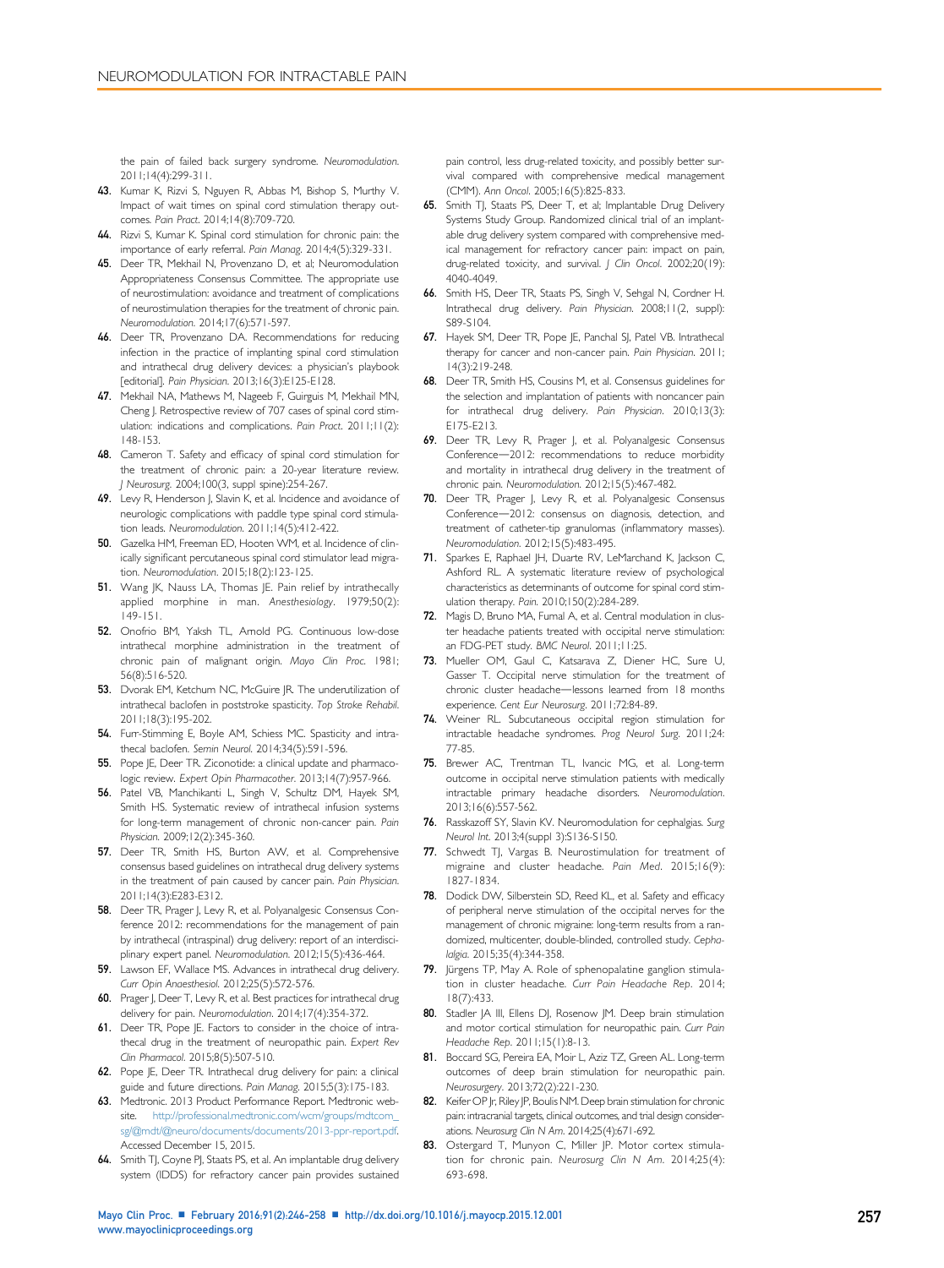<span id="page-11-0"></span>the pain of failed back surgery syndrome. Neuromodulation. 2011;14(4):299-311.

- 43. Kumar K, Rizvi S, Nguyen R, Abbas M, Bishop S, Murthy V. Impact of wait times on spinal cord stimulation therapy outcomes. Pain Pract. 2014;14(8):709-720.
- 44. Rizvi S, Kumar K. Spinal cord stimulation for chronic pain: the importance of early referral. Pain Manag. 2014;4(5):329-331.
- 45. Deer TR, Mekhail N, Provenzano D, et al; Neuromodulation Appropriateness Consensus Committee. The appropriate use of neurostimulation: avoidance and treatment of complications of neurostimulation therapies for the treatment of chronic pain. Neuromodulation. 2014;17(6):571-597.
- 46. Deer TR, Provenzano DA. Recommendations for reducing infection in the practice of implanting spinal cord stimulation and intrathecal drug delivery devices: a physician's playbook [editorial]. Pain Physician. 2013;16(3):E125-E128.
- 47. Mekhail NA, Mathews M, Nageeb F, Guirguis M, Mekhail MN, Cheng J. Retrospective review of 707 cases of spinal cord stimulation: indications and complications. Pain Pract. 2011;11(2): 148-153.
- 48. Cameron T. Safety and efficacy of spinal cord stimulation for the treatment of chronic pain: a 20-year literature review. J Neurosurg. 2004;100(3, suppl spine):254-267.
- 49. Levy R, Henderson J, Slavin K, et al. Incidence and avoidance of neurologic complications with paddle type spinal cord stimulation leads. Neuromodulation. 2011;14(5):412-422.
- 50. Gazelka HM, Freeman ED, Hooten WM, et al. Incidence of clinically significant percutaneous spinal cord stimulator lead migration. Neuromodulation. 2015;18(2):123-125.
- 51. Wang JK, Nauss LA, Thomas JE. Pain relief by intrathecally applied morphine in man. Anesthesiology. 1979;50(2): 149-151.
- 52. Onofrio BM, Yaksh TL, Arnold PG. Continuous low-dose intrathecal morphine administration in the treatment of chronic pain of malignant origin. Mayo Clin Proc. 1981; 56(8):516-520.
- 53. Dvorak EM, Ketchum NC, McGuire IR. The underutilization of intrathecal baclofen in poststroke spasticity. Top Stroke Rehabil. 2011;18(3):195-202.
- 54. Furr-Stimming E, Boyle AM, Schiess MC. Spasticity and intrathecal baclofen. Semin Neurol. 2014;34(5):591-596.
- 55. Pope JE, Deer TR. Ziconotide: a clinical update and pharmacologic review. Expert Opin Pharmacother. 2013;14(7):957-966.
- 56. Patel VB, Manchikanti L, Singh V, Schultz DM, Hayek SM, Smith HS. Systematic review of intrathecal infusion systems for long-term management of chronic non-cancer pain. Pain Physician. 2009;12(2):345-360.
- 57. Deer TR, Smith HS, Burton AW, et al. Comprehensive consensus based guidelines on intrathecal drug delivery systems in the treatment of pain caused by cancer pain. Pain Physician. 2011;14(3):E283-E312.
- 58. Deer TR, Prager J, Levy R, et al. Polyanalgesic Consensus Conference 2012: recommendations for the management of pain by intrathecal (intraspinal) drug delivery: report of an interdisciplinary expert panel. Neuromodulation. 2012;15(5):436-464.
- 59. Lawson EF, Wallace MS. Advances in intrathecal drug delivery. Curr Opin Anaesthesiol. 2012;25(5):572-576.
- 60. Prager J, Deer T, Levy R, et al. Best practices for intrathecal drug delivery for pain. Neuromodulation. 2014;17(4):354-372.
- 61. Deer TR, Pope JE. Factors to consider in the choice of intrathecal drug in the treatment of neuropathic pain. Expert Rev Clin Pharmacol. 2015;8(5):507-510.
- 62. Pope JE, Deer TR. Intrathecal drug delivery for pain: a clinical guide and future directions. Pain Manag. 2015;5(3):175-183.
- 63. Medtronic. 2013 Product Performance Report. Medtronic website. [http://professional.medtronic.com/wcm/groups/mdtcom\\_](http://professional.medtronic.com/wcm/groups/mdtcom_sg/@mdt/@neuro/documents/documents/2013-ppr-report.pdf) [sg/@mdt/@neuro/documents/documents/2013-ppr-report.pdf](http://professional.medtronic.com/wcm/groups/mdtcom_sg/@mdt/@neuro/documents/documents/2013-ppr-report.pdf). Accessed December 15, 2015.
- 64. Smith TJ, Coyne PJ, Staats PS, et al. An implantable drug delivery system (IDDS) for refractory cancer pain provides sustained

pain control, less drug-related toxicity, and possibly better survival compared with comprehensive medical management (CMM). Ann Oncol. 2005;16(5):825-833.

- 65. Smith TJ, Staats PS, Deer T, et al; Implantable Drug Delivery Systems Study Group. Randomized clinical trial of an implantable drug delivery system compared with comprehensive medical management for refractory cancer pain: impact on pain, drug-related toxicity, and survival. J Clin Oncol. 2002;20(19): 4040-4049.
- 66. Smith HS, Deer TR, Staats PS, Singh V, Sehgal N, Cordner H. Intrathecal drug delivery. Pain Physician. 2008;11(2, suppl): S89-S104.
- 67. Hayek SM, Deer TR, Pope JE, Panchal SJ, Patel VB. Intrathecal therapy for cancer and non-cancer pain. Pain Physician. 2011; 14(3):219-248.
- 68. Deer TR, Smith HS, Cousins M, et al. Consensus guidelines for the selection and implantation of patients with noncancer pain for intrathecal drug delivery. Pain Physician. 2010;13(3): E175-E213.
- 69. Deer TR, Levy R, Prager J, et al. Polyanalgesic Consensus Conference-2012: recommendations to reduce morbidity and mortality in intrathecal drug delivery in the treatment of chronic pain. Neuromodulation. 2012;15(5):467-482.
- 70. Deer TR, Prager J, Levy R, et al. Polyanalgesic Consensus Conference-2012: consensus on diagnosis, detection, and treatment of catheter-tip granulomas (inflammatory masses). Neuromodulation. 2012;15(5):483-495.
- 71. Sparkes E, Raphael JH, Duarte RV, LeMarchand K, Jackson C, Ashford RL. A systematic literature review of psychological characteristics as determinants of outcome for spinal cord stimulation therapy. Pain. 2010;150(2):284-289.
- 72. Magis D, Bruno MA, Fumal A, et al. Central modulation in cluster headache patients treated with occipital nerve stimulation: an FDG-PET study. BMC Neurol. 2011;11:25.
- 73. Mueller OM, Gaul C, Katsarava Z, Diener HC, Sure U, Gasser T. Occipital nerve stimulation for the treatment of chronic cluster headache-lessons learned from 18 months experience. Cent Eur Neurosurg. 2011;72:84-89.
- 74. Weiner RL. Subcutaneous occipital region stimulation for intractable headache syndromes. Prog Neurol Surg. 2011;24: 77-85.
- 75. Brewer AC, Trentman TL, Ivancic MG, et al. Long-term outcome in occipital nerve stimulation patients with medically intractable primary headache disorders. Neuromodulation. 2013;16(6):557-562.
- 76. Rasskazoff SY, Slavin KV. Neuromodulation for cephalgias. Surg Neurol Int. 2013;4(suppl 3):S136-S150.
- 77. Schwedt TJ, Vargas B. Neurostimulation for treatment of migraine and cluster headache. Pain Med. 2015;16(9): 1827-1834.
- 78. Dodick DW, Silberstein SD, Reed KL, et al. Safety and efficacy of peripheral nerve stimulation of the occipital nerves for the management of chronic migraine: long-term results from a randomized, multicenter, double-blinded, controlled study. Cephalalgia. 2015;35(4):344-358.
- 79. Jürgens TP, May A. Role of sphenopalatine ganglion stimulation in cluster headache. Curr Pain Headache Rep. 2014; 18(7):433.
- 80. Stadler JA III, Ellens DJ, Rosenow JM. Deep brain stimulation and motor cortical stimulation for neuropathic pain. Curr Pain Headache Rep. 2011;15(1):8-13.
- 81. Boccard SG, Pereira EA, Moir L, Aziz TZ, Green AL. Long-term outcomes of deep brain stimulation for neuropathic pain. Neurosurgery. 2013;72(2):221-230.
- 82. Keifer OP Jr, Riley JP, Boulis NM. Deep brain stimulation for chronic pain: intracranial targets, clinical outcomes, and trial design considerations. Neurosurg Clin N Am. 2014;25(4):671-692.
- 83. Ostergard T, Munyon C, Miller JP. Motor cortex stimulation for chronic pain. Neurosurg Clin N Am. 2014;25(4): 693-698.